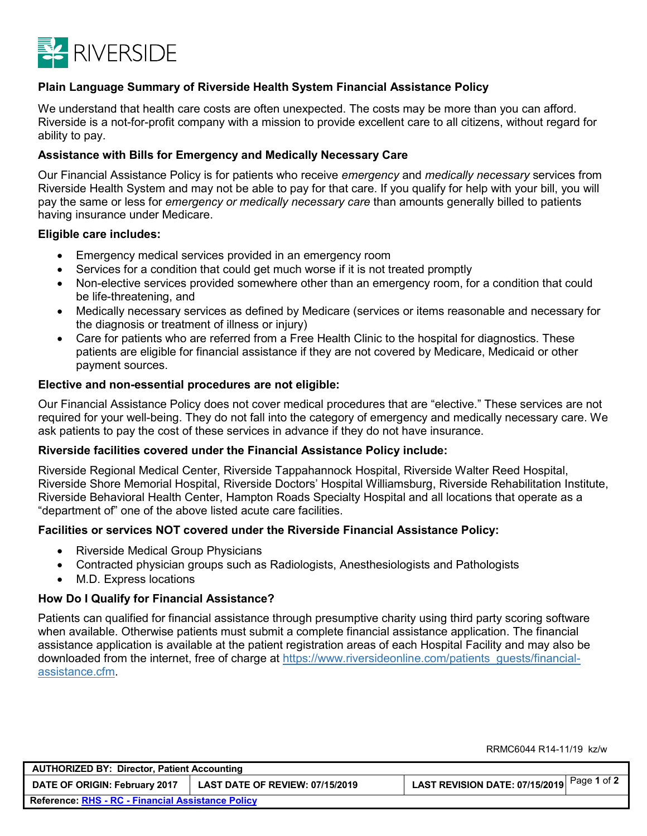

## **Plain Language Summary of Riverside Health System Financial Assistance Policy**

We understand that health care costs are often unexpected. The costs may be more than you can afford. Riverside is a not-for-profit company with a mission to provide excellent care to all citizens, without regard for ability to pay.

#### **Assistance with Bills for Emergency and Medically Necessary Care**

Our Financial Assistance Policy is for patients who receive *emergency* and *medically necessary* services from Riverside Health System and may not be able to pay for that care. If you qualify for help with your bill, you will pay the same or less for *emergency or medically necessary care* than amounts generally billed to patients having insurance under Medicare.

#### **Eligible care includes:**

- Emergency medical services provided in an emergency room
- Services for a condition that could get much worse if it is not treated promptly
- Non-elective services provided somewhere other than an emergency room, for a condition that could be life-threatening, and
- Medically necessary services as defined by Medicare (services or items reasonable and necessary for the diagnosis or treatment of illness or injury)
- Care for patients who are referred from a Free Health Clinic to the hospital for diagnostics. These patients are eligible for financial assistance if they are not covered by Medicare, Medicaid or other payment sources.

#### **Elective and non-essential procedures are not eligible:**

Our Financial Assistance Policy does not cover medical procedures that are "elective." These services are not required for your well-being. They do not fall into the category of emergency and medically necessary care. We ask patients to pay the cost of these services in advance if they do not have insurance.

#### **Riverside facilities covered under the Financial Assistance Policy include:**

Riverside Regional Medical Center, Riverside Tappahannock Hospital, Riverside Walter Reed Hospital, Riverside Shore Memorial Hospital, Riverside Doctors' Hospital Williamsburg, Riverside Rehabilitation Institute, Riverside Behavioral Health Center, Hampton Roads Specialty Hospital and all locations that operate as a "department of" one of the above listed acute care facilities.

#### **Facilities or services NOT covered under the Riverside Financial Assistance Policy:**

- Riverside Medical Group Physicians
- Contracted physician groups such as Radiologists, Anesthesiologists and Pathologists
- M.D. Express locations

#### **How Do I Qualify for Financial Assistance?**

Patients can qualified for financial assistance through presumptive charity using third party scoring software when available. Otherwise patients must submit a complete financial assistance application. The financial assistance application is available at the patient registration areas of each Hospital Facility and may also be downloaded from the internet, free of charge at https://www.riversideonline.com/patients\_guests/financialassistance.cfm.

**AUTHORIZED BY: Director, Patient Accounting DATE OF ORIGIN: February <sup>2017</sup> LAST DATE OF REVIEW: 07/15/2019 LAST REVISION DATE: 07/15/2019** Page **<sup>1</sup>** of **<sup>2</sup> Reference: RHS - RC - [Financial Assistance Policy](https://riverside.policytech.com/docview/?docid=7088)**

RRMC6044 R14-11/19 kz/w